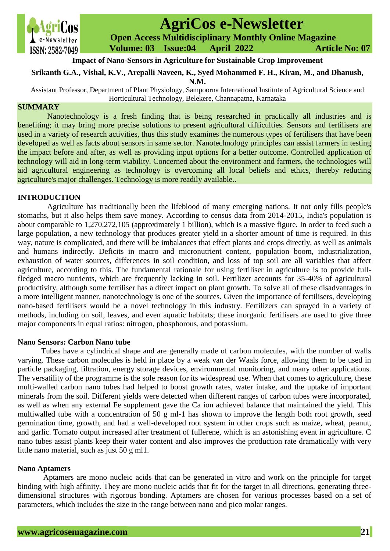

# **AgriCos e-Newsletter Open Access Multidisciplinary Monthly Online Magazine**

 **Volume: 03 Issue:04 April 2022 Article No: 07**

# **Impact of Nano-Sensors in Agriculture for Sustainable Crop Improvement**

# **Srikanth G.A., Vishal, K.V., Arepalli Naveen, K., Syed Mohammed F. H., Kiran, M., and Dhanush,**

**N.M.**

Assistant Professor, Department of Plant Physiology, Sampoorna International Institute of Agricultural Science and Horticultural Technology, Belekere, Channapatna, Karnataka

# **SUMMARY**

Nanotechnology is a fresh finding that is being researched in practically all industries and is benefiting; it may bring more precise solutions to present agricultural difficulties. Sensors and fertilisers are used in a variety of research activities, thus this study examines the numerous types of fertilisers that have been developed as well as facts about sensors in same sector. Nanotechnology principles can assist farmers in testing the impact before and after, as well as providing input options for a better outcome. Controlled application of technology will aid in long-term viability. Concerned about the environment and farmers, the technologies will aid agricultural engineering as technology is overcoming all local beliefs and ethics, thereby reducing agriculture's major challenges. Technology is more readily available..

# **INTRODUCTION**

 Agriculture has traditionally been the lifeblood of many emerging nations. It not only fills people's stomachs, but it also helps them save money. According to census data from 2014-2015, India's population is about comparable to 1,270,272,105 (approximately 1 billion), which is a massive figure. In order to feed such a large population, a new technology that produces greater yield in a shorter amount of time is required. In this way, nature is complicated, and there will be imbalances that effect plants and crops directly, as well as animals and humans indirectly. Deficits in macro and micronutrient content, population boom, industrialization, exhaustion of water sources, differences in soil condition, and loss of top soil are all variables that affect agriculture, according to this. The fundamental rationale for using fertiliser in agriculture is to provide fullfledged macro nutrients, which are frequently lacking in soil. Fertilizer accounts for 35-40% of agricultural productivity, although some fertiliser has a direct impact on plant growth. To solve all of these disadvantages in a more intelligent manner, nanotechnology is one of the sources. Given the importance of fertilisers, developing nano-based fertilisers would be a novel technology in this industry. Fertilizers can sprayed in a variety of methods, including on soil, leaves, and even aquatic habitats; these inorganic fertilisers are used to give three major components in equal ratios: nitrogen, phosphorous, and potassium.

## **Nano Sensors: Carbon Nano tube**

 Tubes have a cylindrical shape and are generally made of carbon molecules, with the number of walls varying. These carbon molecules is held in place by a weak van der Waals force, allowing them to be used in particle packaging, filtration, energy storage devices, environmental monitoring, and many other applications. The versatility of the programme is the sole reason for its widespread use. When that comes to agriculture, these multi-walled carbon nano tubes had helped to boost growth rates, water intake, and the uptake of important minerals from the soil. Different yields were detected when different ranges of carbon tubes were incorporated, as well as when any external Fe supplement gave the Ca ion achieved balance that maintained the yield. This multiwalled tube with a concentration of 50 g ml-1 has shown to improve the length both root growth, seed germination time, growth, and had a well-developed root system in other crops such as maize, wheat, peanut, and garlic. Tomato output increased after treatment of fullerene, which is an astonishing event in agriculture. C nano tubes assist plants keep their water content and also improves the production rate dramatically with very little nano material, such as just 50 g ml1.

## **Nano Aptamers**

 Aptamers are mono nucleic acids that can be generated in vitro and work on the principle for target binding with high affinity. They are mono nucleic acids that fit for the target in all directions, generating threedimensional structures with rigorous bonding. Aptamers are chosen for various processes based on a set of parameters, which includes the size in the range between nano and pico molar ranges.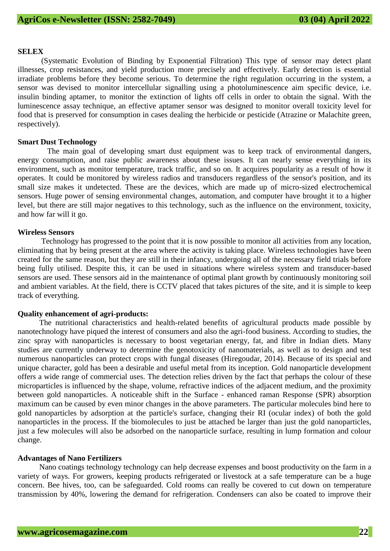#### **SELEX**

 (Systematic Evolution of Binding by Exponential Filtration) This type of sensor may detect plant illnesses, crop resistances, and yield production more precisely and effectively. Early detection is essential irradiate problems before they become serious. To determine the right regulation occurring in the system, a sensor was devised to monitor intercellular signalling using a photoluminescence aim specific device, i.e. insulin binding aptamer, to monitor the extinction of lights off cells in order to obtain the signal. With the luminescence assay technique, an effective aptamer sensor was designed to monitor overall toxicity level for food that is preserved for consumption in cases dealing the herbicide or pesticide (Atrazine or Malachite green, respectively).

#### **Smart Dust Technology**

The main goal of developing smart dust equipment was to keep track of environmental dangers, energy consumption, and raise public awareness about these issues. It can nearly sense everything in its environment, such as monitor temperature, track traffic, and so on. It acquires popularity as a result of how it operates. It could be monitored by wireless radios and transducers regardless of the sensor's position, and its small size makes it undetected. These are the devices, which are made up of micro-sized electrochemical sensors. Huge power of sensing environmental changes, automation, and computer have brought it to a higher level, but there are still major negatives to this technology, such as the influence on the environment, toxicity, and how far will it go.

#### **Wireless Sensors**

 Technology has progressed to the point that it is now possible to monitor all activities from any location, eliminating that by being present at the area where the activity is taking place. Wireless technologies have been created for the same reason, but they are still in their infancy, undergoing all of the necessary field trials before being fully utilised. Despite this, it can be used in situations where wireless system and transducer-based sensors are used. These sensors aid in the maintenance of optimal plant growth by continuously monitoring soil and ambient variables. At the field, there is CCTV placed that takes pictures of the site, and it is simple to keep track of everything.

#### **Quality enhancement of agri-products:**

 The nutritional characteristics and health-related benefits of agricultural products made possible by nanotechnology have piqued the interest of consumers and also the agri-food business. According to studies, the zinc spray with nanoparticles is necessary to boost vegetarian energy, fat, and fibre in Indian diets. Many studies are currently underway to determine the genotoxicity of nanomaterials, as well as to design and test numerous nanoparticles can protect crops with fungal diseases (Hiregoudar, 2014). Because of its special and unique character, gold has been a desirable and useful metal from its inception. Gold nanoparticle development offers a wide range of commercial uses. The detection relies driven by the fact that perhaps the colour of these microparticles is influenced by the shape, volume, refractive indices of the adjacent medium, and the proximity between gold nanoparticles. A noticeable shift in the Surface - enhanced raman Response (SPR) absorption maximum can be caused by even minor changes in the above parameters. The particular molecules bind here to gold nanoparticles by adsorption at the particle's surface, changing their RI (ocular index) of both the gold nanoparticles in the process. If the biomolecules to just be attached be larger than just the gold nanoparticles, just a few molecules will also be adsorbed on the nanoparticle surface, resulting in lump formation and colour change.

#### **Advantages of Nano Fertilizers**

 Nano coatings technology technology can help decrease expenses and boost productivity on the farm in a variety of ways. For growers, keeping products refrigerated or livestock at a safe temperature can be a huge concern. Bee hives, too, can be safeguarded. Cold rooms can really be covered to cut down on temperature transmission by 40%, lowering the demand for refrigeration. Condensers can also be coated to improve their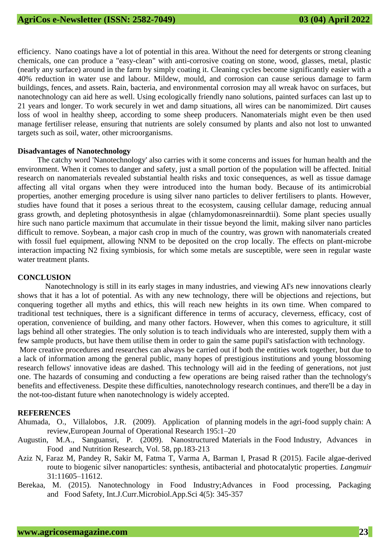efficiency. Nano coatings have a lot of potential in this area. Without the need for detergents or strong cleaning chemicals, one can produce a "easy-clean" with anti-corrosive coating on stone, wood, glasses, metal, plastic (nearly any surface) around in the farm by simply coating it. Cleaning cycles become significantly easier with a 40% reduction in water use and labour. Mildew, mould, and corrosion can cause serious damage to farm buildings, fences, and assets. Rain, bacteria, and environmental corrosion may all wreak havoc on surfaces, but nanotechnology can aid here as well. Using ecologically friendly nano solutions, painted surfaces can last up to 21 years and longer. To work securely in wet and damp situations, all wires can be nanomimized. Dirt causes loss of wool in healthy sheep, according to some sheep producers. Nanomaterials might even be then used manage fertiliser release, ensuring that nutrients are solely consumed by plants and also not lost to unwanted targets such as soil, water, other microorganisms.

#### **Disadvantages of Nanotechnology**

 The catchy word 'Nanotechnology' also carries with it some concerns and issues for human health and the environment. When it comes to danger and safety, just a small portion of the population will be affected. Initial research on nanomaterials revealed substantial health risks and toxic consequences, as well as tissue damage affecting all vital organs when they were introduced into the human body. Because of its antimicrobial properties, another emerging procedure is using silver nano particles to deliver fertilisers to plants. However, studies have found that it poses a serious threat to the ecosystem, causing cellular damage, reducing annual grass growth, and depleting photosynthesis in algae (chlamydomonasreinnardtii). Some plant species usually hire such nano particle maximum that accumulate in their tissue beyond the limit, making silver nano particles difficult to remove. Soybean, a major cash crop in much of the country, was grown with nanomaterials created with fossil fuel equipment, allowing NNM to be deposited on the crop locally. The effects on plant-microbe interaction impacting N2 fixing symbiosis, for which some metals are susceptible, were seen in regular waste water treatment plants.

#### **CONCLUSION**

 Nanotechnology is still in its early stages in many industries, and viewing AI's new innovations clearly shows that it has a lot of potential. As with any new technology, there will be objections and rejections, but conquering together all myths and ethics, this will reach new heights in its own time. When compared to traditional test techniques, there is a significant difference in terms of accuracy, cleverness, efficacy, cost of operation, convenience of building, and many other factors. However, when this comes to agriculture, it still lags behind all other strategies. The only solution is to teach individuals who are interested, supply them with a few sample products, but have them utilise them in order to gain the same pupil's satisfaction with technology.

More creative procedures and researches can always be carried out if both the entities work together, but due to a lack of information among the general public, many hopes of prestigious institutions and young blossoming research fellows' innovative ideas are dashed. This technology will aid in the feeding of generations, not just one. The hazards of consuming and conducting a few operations are being raised rather than the technology's benefits and effectiveness. Despite these difficulties, nanotechnology research continues, and there'll be a day in the not-too-distant future when nanotechnology is widely accepted.

#### **REFERENCES**

- Ahumada, O., Villalobos, J.R. (2009). Application of planning models in the agri-food supply chain: A review,European Journal of Operational Research 195:1–20
- Augustin, M.A., Sanguansri, P. (2009). Nanostructured Materials in the Food Industry, Advances in Food and Nutrition Research, Vol. 58, pp.183-213
- Aziz N, Faraz M, Pandey R, Sakir M, Fatma T, Varma A, Barman I, Prasad R (2015). Facile algae-derived route to biogenic silver nanoparticles: synthesis, antibacterial and photocatalytic properties. *Langmuir* 31:11605–11612.
- Berekaa, M. (2015). Nanotechnology in Food Industry;Advances in Food processing, Packaging and Food Safety, Int.J.Curr.Microbiol.App.Sci 4(5): 345-357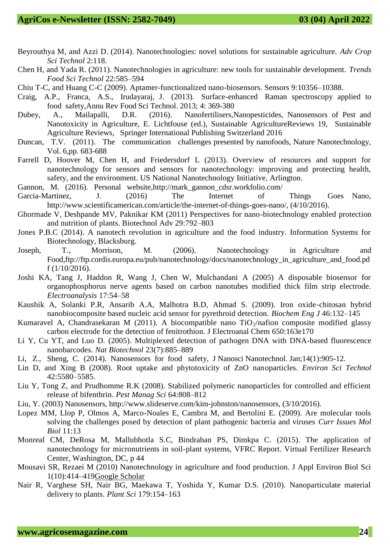- Beyrouthya M, and Azzi D. (2014). Nanotechnologies: novel solutions for sustainable agriculture. *Adv Crop Sci Technol* 2:118.
- Chen H, and Yada R. (2011). Nanotechnologies in agriculture: new tools for sustainable development. *Trends Food Sci Technol* 22:585–594
- Chiu T-C, and Huang C-C (2009). Aptamer-functionalized nano-biosensors. Sensors 9:10356–10388.
- Craig, A.P., Franca, A.S., Irudayaraj, J. (2013). Surface-enhanced Raman spectroscopy applied to food safety,Annu Rev Food Sci Technol. 2013; 4: 369-380
- Dubey, A., Mailapalli, D.R. (2016). Nanofertilisers,Nanopesticides, Nanosensors of Pest and Nanotoxicity in Agriculture, E. Lichtfouse (ed.), Sustainable AgricultureReviews 19, Sustainable Agriculture Reviews, Springer International Publishing Switzerland 2016
- Duncan, T.V. (2011). The communication challenges presented by nanofoods, Nature Nanotechnology, Vol. 6,pp. 683-688
- Farrell D, Hoover M, Chen H, and Friedersdorf L (2013). Overview of resources and support for nanotechnology for sensors and sensors for nanotechnology: improving and protecting health, safety, and the environment. US National Nanotechnology Initiative, Arlington.
- Gannon, M. (2016). Personal website,http://mark\_gannon\_cdsr.workfolio.com/
- Garcia-Martinez, J. (2016) The Internet of Things Goes Nano, http://www.scientificamerican.com/article/the-internet-of-things-goes-nano/, (4/10/2016).
- Ghormade V, Deshpande MV, Paknikar KM (2011) Perspectives for nano-biotechnology enabled protection and nutrition of plants. Biotechnol Adv 29:792–803
- Jones P.B.C (2014). A nanotech revolution in agriculture and the food industry. Information Systems for Biotechnology, Blacksburg.
- Joseph, T., Morrison, M. (2006). Nanotechnology in Agriculture and Food,ftp://ftp.cordis.europa.eu/pub/nanotechnology/docs/nanotechnology\_in\_agriculture\_and\_food.pd f (1/10/2016).
- Joshi KA, Tang J, Haddon R, Wang J, Chen W, Mulchandani A (2005) A disposable biosensor for organophosphorus nerve agents based on carbon nanotubes modified thick film strip electrode. *Electroanalysis* 17:54–58
- Kaushik A, Solanki P.R, Ansarib A.A, Malhotra B.D, Ahmad S. (2009). Iron oxide-chitosan hybrid nanobiocomposite based nucleic acid sensor for pyrethroid detection. *Biochem Eng J* 46:132–145
- Kumaravel A, Chandrasekaran M (2011). A biocompatible nano  $TiO<sub>2</sub>/nafion$  composite modified glassy carbon electrode for the detection of fenitrothion. J Electroanal Chem 650:163e170
- Li Y, Cu YT, and Luo D. (2005). Multiplexed detection of pathogen DNA with DNA-based fluorescence nanobarcodes. *Nat Biotechnol* 23(7):885–889
- Li, Z., Sheng, C. (2014). Nanosensors for food safety, J Nanosci Nanotechnol. Jan;14(1):905-12.
- Lin D, and Xing B (2008). Root uptake and phytotoxicity of ZnO nanoparticles. *Environ Sci Technol* 42:5580–5585.
- Liu Y, Tong Z, and Prudhomme R.K (2008). Stabilized polymeric nanoparticles for controlled and efficient release of bifenthrin. *Pest Manag Sci* 64:808–812
- Liu, Y. (2003) Nanosensors, http://www.slideserve.com/kim-johnston/nanosensors, (3/10/2016).
- Lopez MM, Llop P, Olmos A, Marco-Noales E, Cambra M, and Bertolini E. (2009). Are molecular tools solving the challenges posed by detection of plant pathogenic bacteria and viruses *Curr Issues Mol Biol* 11:13
- Monreal CM, DeRosa M, Mallubhotla S.C, Bindraban PS, Dimkpa C. (2015). The application of nanotechnology for micronutrients in soil-plant systems, VFRC Report. Virtual Fertilizer Research Center, Washington, DC, p 44
- Mousavi SR, Rezaei M (2010) Nanotechnology in agriculture and food production. J Appl Environ Biol Sci 1(10):414–41[9Google Scholar](http://scholar.google.com/scholar_lookup?title=Nanotechnology%20in%20agriculture%20and%20food%20production&author=SR.%20Mousavi&author=M.%20Rezaei&journal=J%20Appl%20Environ%20Biol%20Sci&volume=1&issue=10&pages=414-419&publication_year=2010)
- Nair R, Varghese SH, Nair BG, Maekawa T, Yoshida Y, Kumar D.S. (2010). Nanoparticulate material delivery to plants. *Plant Sci* 179:154–163